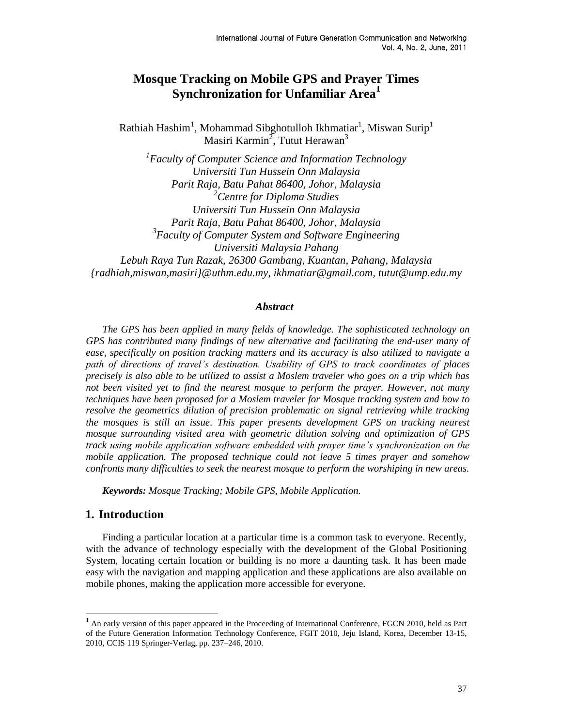# **Mosque Tracking on Mobile GPS and Prayer Times Synchronization for Unfamiliar Area<sup>1</sup>**

Rathiah Hashim<sup>1</sup>, Mohammad Sibghotulloh Ikhmatiar<sup>1</sup>, Miswan Surip<sup>1</sup> Masiri Karmin<sup>2</sup>, Tutut Herawan<sup>3</sup>

*1 Faculty of Computer Science and Information Technology Universiti Tun Hussein Onn Malaysia Parit Raja, Batu Pahat 86400, Johor, Malaysia <sup>2</sup>Centre for Diploma Studies Universiti Tun Hussein Onn Malaysia Parit Raja, Batu Pahat 86400, Johor, Malaysia 3 Faculty of Computer System and Software Engineering Universiti Malaysia Pahang Lebuh Raya Tun Razak, 26300 Gambang, Kuantan, Pahang, Malaysia {radhiah,miswan,masiri}@uthm.edu.my, ikhmatiar@gmail.com, tutut@ump.edu.my*

#### *Abstract*

*The GPS has been applied in many fields of knowledge. The sophisticated technology on GPS has contributed many findings of new alternative and facilitating the end-user many of ease, specifically on position tracking matters and its accuracy is also utilized to navigate a path of directions of travel's destination. Usability of GPS to track coordinates of places precisely is also able to be utilized to assist a Moslem traveler who goes on a trip which has not been visited yet to find the nearest mosque to perform the prayer. However, not many techniques have been proposed for a Moslem traveler for Mosque tracking system and how to resolve the geometrics dilution of precision problematic on signal retrieving while tracking the mosques is still an issue. This paper presents development GPS on tracking nearest mosque surrounding visited area with geometric dilution solving and optimization of GPS track using mobile application software embedded with prayer time's synchronization on the mobile application. The proposed technique could not leave 5 times prayer and somehow confronts many difficulties to seek the nearest mosque to perform the worshiping in new areas.*

*Keywords: Mosque Tracking; Mobile GPS, Mobile Application.*

## **1. Introduction**

l

Finding a particular location at a particular time is a common task to everyone. Recently, with the advance of technology especially with the development of the Global Positioning System, locating certain location or building is no more a daunting task. It has been made easy with the navigation and mapping application and these applications are also available on mobile phones, making the application more accessible for everyone.

 $<sup>1</sup>$  An early version of this paper appeared in the Proceeding of International Conference, FGCN 2010, held as Part</sup> of the Future Generation Information Technology Conference, FGIT 2010, Jeju Island, Korea, December 13-15, 2010, CCIS 119 Springer-Verlag, pp. 237–246, 2010.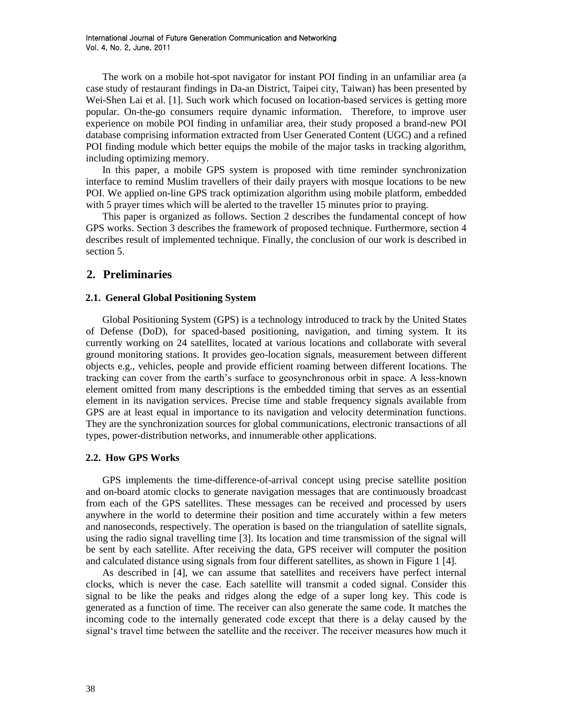The work on a mobile hot-spot navigator for instant POI finding in an unfamiliar area (a case study of restaurant findings in Da-an District, Taipei city, Taiwan) has been presented by Wei-Shen Lai et al. [1]. Such work which focused on location-based services is getting more popular. On-the-go consumers require dynamic information. Therefore, to improve user experience on mobile POI finding in unfamiliar area, their study proposed a brand-new POI database comprising information extracted from User Generated Content (UGC) and a refined POI finding module which better equips the mobile of the major tasks in tracking algorithm, including optimizing memory.

In this paper, a mobile GPS system is proposed with time reminder synchronization interface to remind Muslim travellers of their daily prayers with mosque locations to be new POI. We applied on-line GPS track optimization algorithm using mobile platform, embedded with 5 prayer times which will be alerted to the traveller 15 minutes prior to praying.

This paper is organized as follows. Section 2 describes the fundamental concept of how GPS works. Section 3 describes the framework of proposed technique. Furthermore, section 4 describes result of implemented technique. Finally, the conclusion of our work is described in section 5.

## **2. Preliminaries**

#### **2.1. General Global Positioning System**

Global Positioning System (GPS) is a technology introduced to track by the United States of Defense (DoD), for spaced-based positioning, navigation, and timing system. It its currently working on 24 satellites, located at various locations and collaborate with several ground monitoring stations. It provides geo-location signals, measurement between different objects e.g., vehicles, people and provide efficient roaming between different locations. The tracking can cover from the earth"s surface to geosynchronous orbit in space. A less-known element omitted from many descriptions is the embedded timing that serves as an essential element in its navigation services. Precise time and stable frequency signals available from GPS are at least equal in importance to its navigation and velocity determination functions. They are the synchronization sources for global communications, electronic transactions of all types, power-distribution networks, and innumerable other applications.

### **2.2. How GPS Works**

GPS implements the time-difference-of-arrival concept using precise satellite position and on-board atomic clocks to generate navigation messages that are continuously broadcast from each of the GPS satellites. These messages can be received and processed by users anywhere in the world to determine their position and time accurately within a few meters and nanoseconds, respectively. The operation is based on the triangulation of satellite signals, using the radio signal travelling time [3]. Its location and time transmission of the signal will be sent by each satellite. After receiving the data, GPS receiver will computer the position and calculated distance using signals from four different satellites, as shown in Figure 1 [4].

As described in [4], we can assume that satellites and receivers have perfect internal clocks, which is never the case. Each satellite will transmit a coded signal. Consider this signal to be like the peaks and ridges along the edge of a super long key. This code is generated as a function of time. The receiver can also generate the same code. It matches the incoming code to the internally generated code except that there is a delay caused by the signal"s travel time between the satellite and the receiver. The receiver measures how much it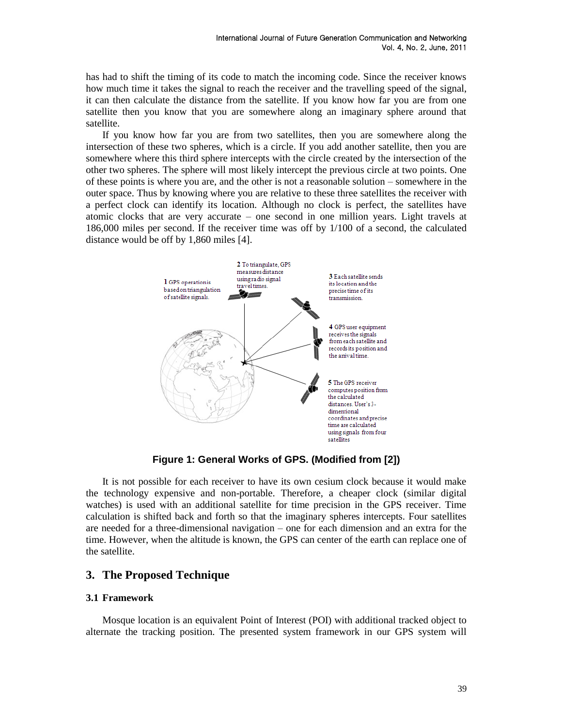has had to shift the timing of its code to match the incoming code. Since the receiver knows how much time it takes the signal to reach the receiver and the travelling speed of the signal, it can then calculate the distance from the satellite. If you know how far you are from one satellite then you know that you are somewhere along an imaginary sphere around that satellite.

If you know how far you are from two satellites, then you are somewhere along the intersection of these two spheres, which is a circle. If you add another satellite, then you are somewhere where this third sphere intercepts with the circle created by the intersection of the other two spheres. The sphere will most likely intercept the previous circle at two points. One of these points is where you are, and the other is not a reasonable solution – somewhere in the outer space. Thus by knowing where you are relative to these three satellites the receiver with a perfect clock can identify its location. Although no clock is perfect, the satellites have atomic clocks that are very accurate – one second in one million years. Light travels at 186,000 miles per second. If the receiver time was off by 1/100 of a second, the calculated distance would be off by 1,860 miles [4].



**Figure 1: General Works of GPS. (Modified from [2])**

It is not possible for each receiver to have its own cesium clock because it would make the technology expensive and non-portable. Therefore, a cheaper clock (similar digital watches) is used with an additional satellite for time precision in the GPS receiver. Time calculation is shifted back and forth so that the imaginary spheres intercepts. Four satellites are needed for a three-dimensional navigation – one for each dimension and an extra for the time. However, when the altitude is known, the GPS can center of the earth can replace one of the satellite.

## **3. The Proposed Technique**

### **3.1 Framework**

Mosque location is an equivalent Point of Interest (POI) with additional tracked object to alternate the tracking position. The presented system framework in our GPS system will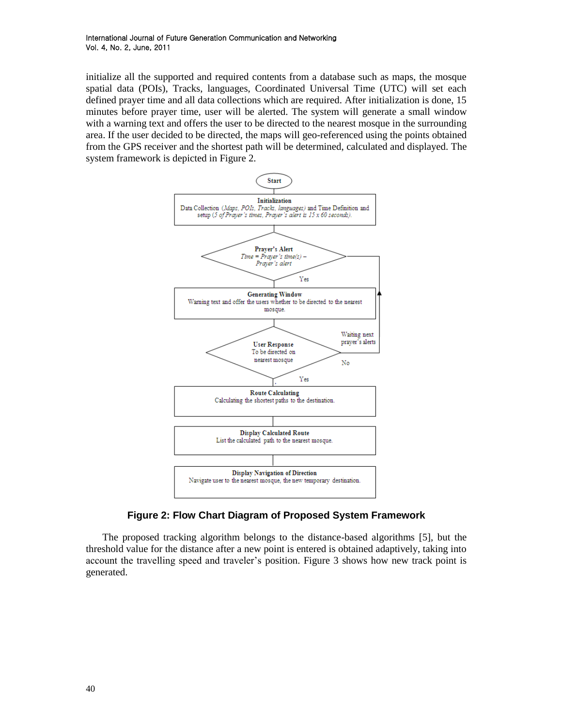initialize all the supported and required contents from a database such as maps, the mosque spatial data (POIs), Tracks, languages, Coordinated Universal Time (UTC) will set each defined prayer time and all data collections which are required. After initialization is done, 15 minutes before prayer time, user will be alerted. The system will generate a small window with a warning text and offers the user to be directed to the nearest mosque in the surrounding area. If the user decided to be directed, the maps will geo-referenced using the points obtained from the GPS receiver and the shortest path will be determined, calculated and displayed. The system framework is depicted in Figure 2.



**Figure 2: Flow Chart Diagram of Proposed System Framework**

The proposed tracking algorithm belongs to the distance-based algorithms [5], but the threshold value for the distance after a new point is entered is obtained adaptively, taking into account the travelling speed and traveler"s position. Figure 3 shows how new track point is generated.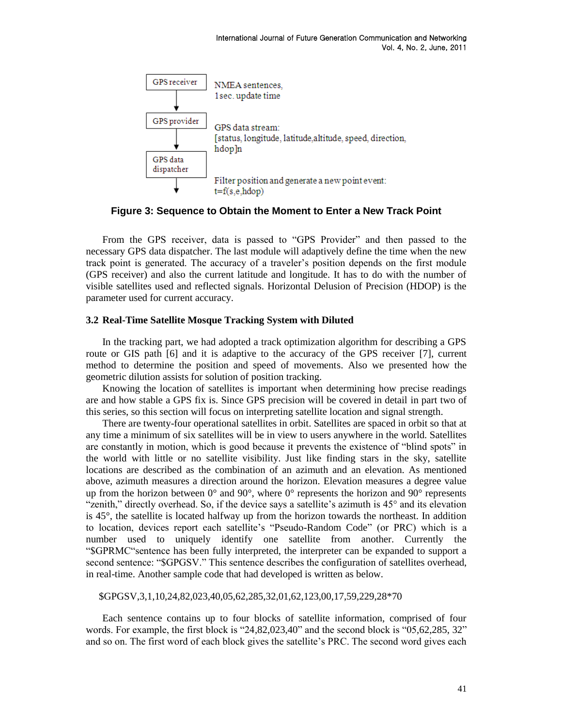

**Figure 3: Sequence to Obtain the Moment to Enter a New Track Point**

From the GPS receiver, data is passed to "GPS Provider" and then passed to the necessary GPS data dispatcher. The last module will adaptively define the time when the new track point is generated. The accuracy of a traveler"s position depends on the first module (GPS receiver) and also the current latitude and longitude. It has to do with the number of visible satellites used and reflected signals. Horizontal Delusion of Precision (HDOP) is the parameter used for current accuracy.

#### **3.2 Real-Time Satellite Mosque Tracking System with Diluted**

In the tracking part, we had adopted a track optimization algorithm for describing a GPS route or GIS path [6] and it is adaptive to the accuracy of the GPS receiver [7], current method to determine the position and speed of movements. Also we presented how the geometric dilution assists for solution of position tracking.

Knowing the location of satellites is important when determining how precise readings are and how stable a GPS fix is. Since GPS precision will be covered in detail in part two of this series, so this section will focus on interpreting satellite location and signal strength.

There are twenty-four operational satellites in orbit. Satellites are spaced in orbit so that at any time a minimum of six satellites will be in view to users anywhere in the world. Satellites are constantly in motion, which is good because it prevents the existence of "blind spots" in the world with little or no satellite visibility. Just like finding stars in the sky, satellite locations are described as the combination of an azimuth and an elevation. As mentioned above, azimuth measures a direction around the horizon. Elevation measures a degree value up from the horizon between  $0^{\circ}$  and  $90^{\circ}$ , where  $0^{\circ}$  represents the horizon and  $90^{\circ}$  represents "zenith," directly overhead. So, if the device says a satellite's azimuth is  $45^{\circ}$  and its elevation is 45°, the satellite is located halfway up from the horizon towards the northeast. In addition to location, devices report each satellite"s "Pseudo-Random Code" (or PRC) which is a number used to uniquely identify one satellite from another. Currently the "\$GPRMC"sentence has been fully interpreted, the interpreter can be expanded to support a second sentence: "\$GPGSV." This sentence describes the configuration of satellites overhead, in real-time. Another sample code that had developed is written as below.

\$GPGSV,3,1,10,24,82,023,40,05,62,285,32,01,62,123,00,17,59,229,28\*70

Each sentence contains up to four blocks of satellite information, comprised of four words. For example, the first block is "24,82,023,40" and the second block is "05,62,285, 32" and so on. The first word of each block gives the satellite's PRC. The second word gives each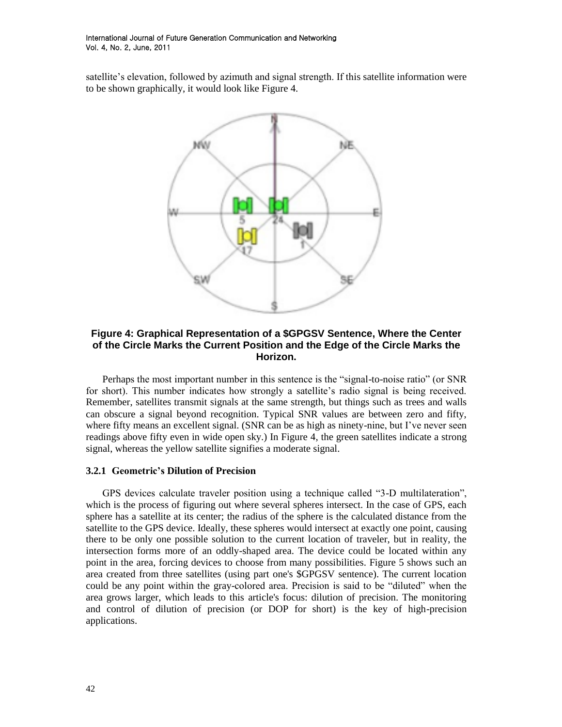satellite's elevation, followed by azimuth and signal strength. If this satellite information were to be shown graphically, it would look like Figure 4.



### **Figure 4: Graphical Representation of a \$GPGSV Sentence, Where the Center of the Circle Marks the Current Position and the Edge of the Circle Marks the Horizon.**

Perhaps the most important number in this sentence is the "signal-to-noise ratio" (or SNR for short). This number indicates how strongly a satellite's radio signal is being received. Remember, satellites transmit signals at the same strength, but things such as trees and walls can obscure a signal beyond recognition. Typical SNR values are between zero and fifty, where fifty means an excellent signal. (SNR can be as high as ninety-nine, but I've never seen readings above fifty even in wide open sky.) In Figure 4, the green satellites indicate a strong signal, whereas the yellow satellite signifies a moderate signal.

#### **3.2.1 Geometric's Dilution of Precision**

GPS devices calculate traveler position using a technique called "3-D multilateration", which is the process of figuring out where several spheres intersect. In the case of GPS, each sphere has a satellite at its center; the radius of the sphere is the calculated distance from the satellite to the GPS device. Ideally, these spheres would intersect at exactly one point, causing there to be only one possible solution to the current location of traveler, but in reality, the intersection forms more of an oddly-shaped area. The device could be located within any point in the area, forcing devices to choose from many possibilities. Figure 5 shows such an area created from three satellites (using part one's \$GPGSV sentence). The current location could be any point within the gray-colored area. Precision is said to be "diluted" when the area grows larger, which leads to this article's focus: dilution of precision. The monitoring and control of dilution of precision (or DOP for short) is the key of high-precision applications.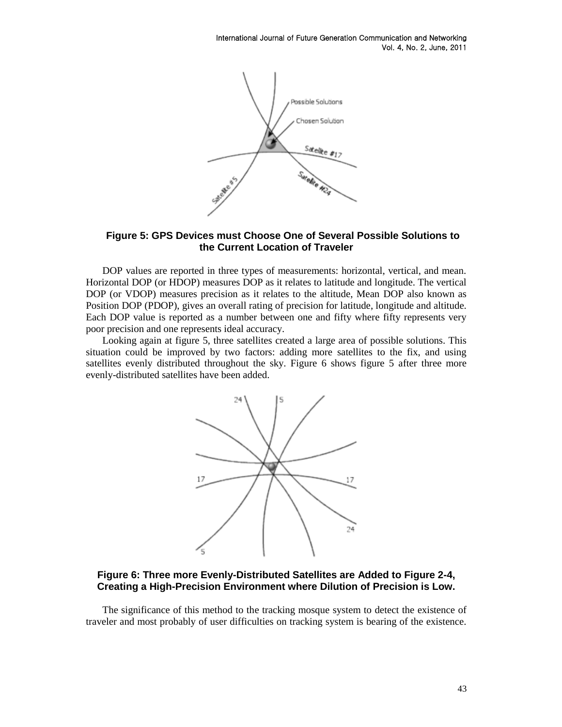

**Figure 5: GPS Devices must Choose One of Several Possible Solutions to the Current Location of Traveler**

DOP values are reported in three types of measurements: horizontal, vertical, and mean. Horizontal DOP (or HDOP) measures DOP as it relates to latitude and longitude. The vertical DOP (or VDOP) measures precision as it relates to the altitude, Mean DOP also known as Position DOP (PDOP), gives an overall rating of precision for latitude, longitude and altitude. Each DOP value is reported as a number between one and fifty where fifty represents very poor precision and one represents ideal accuracy.

Looking again at figure 5, three satellites created a large area of possible solutions. This situation could be improved by two factors: adding more satellites to the fix, and using satellites evenly distributed throughout the sky. Figure 6 shows figure 5 after three more evenly-distributed satellites have been added.



**Figure 6: Three more Evenly-Distributed Satellites are Added to Figure 2-4, Creating a High-Precision Environment where Dilution of Precision is Low.**

The significance of this method to the tracking mosque system to detect the existence of traveler and most probably of user difficulties on tracking system is bearing of the existence.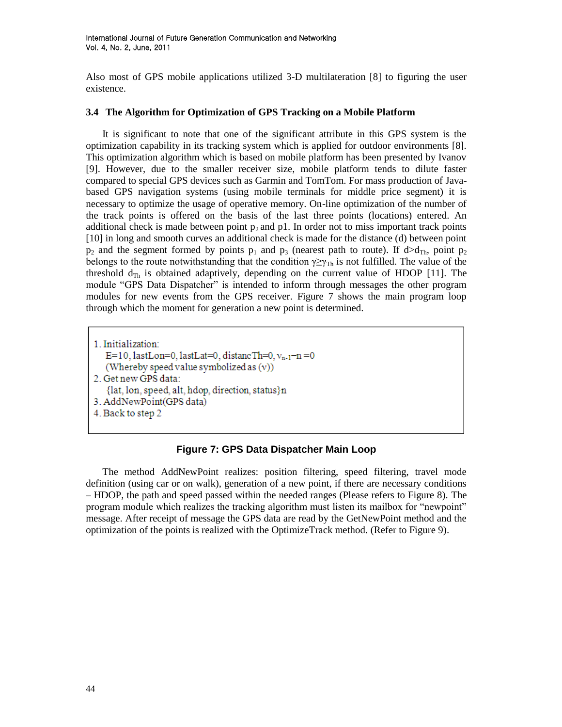Also most of GPS mobile applications utilized 3-D multilateration [8] to figuring the user existence.

### **3.4 The Algorithm for Optimization of GPS Tracking on a Mobile Platform**

It is significant to note that one of the significant attribute in this GPS system is the optimization capability in its tracking system which is applied for outdoor environments [8]. This optimization algorithm which is based on mobile platform has been presented by Ivanov [9]. However, due to the smaller receiver size, mobile platform tends to dilute faster compared to special GPS devices such as Garmin and TomTom. For mass production of Javabased GPS navigation systems (using mobile terminals for middle price segment) it is necessary to optimize the usage of operative memory. On-line optimization of the number of the track points is offered on the basis of the last three points (locations) entered. An additional check is made between point  $p_2$  and p1. In order not to miss important track points [10] in long and smooth curves an additional check is made for the distance (d) between point  $p_2$  and the segment formed by points  $p_1$  and  $p_3$  (nearest path to route). If  $d>d_{Th}$ , point  $p_2$ belongs to the route notwithstanding that the condition  $\gamma \geq \gamma_{\text{Th}}$  is not fulfilled. The value of the threshold  $d_{\text{Th}}$  is obtained adaptively, depending on the current value of HDOP [11]. The module "GPS Data Dispatcher" is intended to inform through messages the other program modules for new events from the GPS receiver. Figure 7 shows the main program loop through which the moment for generation a new point is determined.

1. Initialization: E=10, lastLon=0, lastLat=0, distancTh=0,  $v_{n-1}$ -n=0 (Whereby speed value symbolized as  $(v)$ ) 2. Get new GPS data: {lat, lon, speed, alt, hdop, direction, status}n 3. AddNewPoint(GPS data) 4. Back to step 2

## **Figure 7: GPS Data Dispatcher Main Loop**

The method AddNewPoint realizes: position filtering, speed filtering, travel mode definition (using car or on walk), generation of a new point, if there are necessary conditions – HDOP, the path and speed passed within the needed ranges (Please refers to Figure 8). The program module which realizes the tracking algorithm must listen its mailbox for "newpoint" message. After receipt of message the GPS data are read by the GetNewPoint method and the optimization of the points is realized with the OptimizeTrack method. (Refer to Figure 9).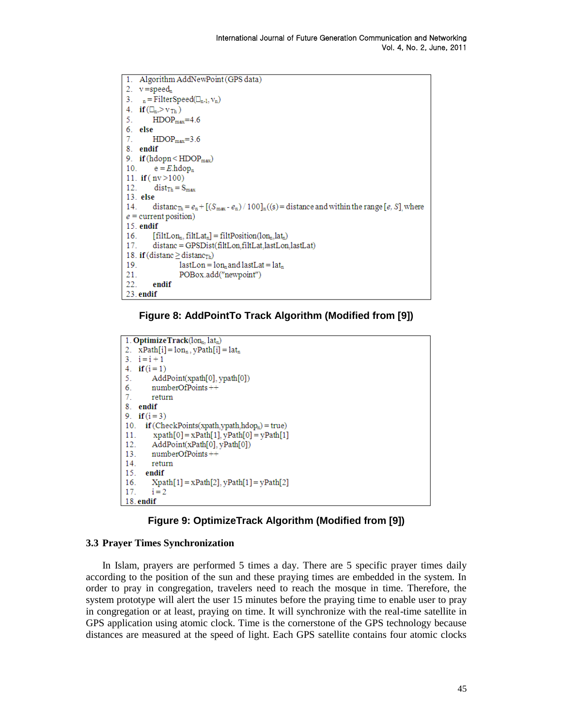```
1Algorithm AddNewPoint (GPS data)
2. v = speed_n3. _n = \text{FilterSpeed}(\square_{n-1}, \nu_n)4. if (\Box_n > v_{\text{Th}})HDOP<sub>max</sub>=4.65<sup>1</sup>6. else
7.
          HDOP<sub>max</sub>=3.68. endif
9. if (hdopn < HDOP<sub>max</sub>)
           e = E.h \text{dop}_n10.11. if (nv > 100)12.dist_{\text{Th}} = S_{\text{max}}13. else
14.
          distanc_{\text{Th}} = e_n + [(S_{\text{max}} - e_n) / 100]_n ((s) = distance and within the range [e, S], where
e = current position)
15. endif
16<sub>1</sub>[\text{filtLon}_n, \text{filtLat}_n] = \text{filtPosition}(lon_n, lat_n)17.
          distanc = GPSDist(filtLon,filtLat,lastLon,lastLat)
18. if (distanc \geq distanc<sub>Th</sub>)
19
                    lastLon = lon<sub>n</sub> and lastLat = lat<sub>n</sub>21.
                     POBox.add("newpoint")
22.
          endif
23.endif
```
### **Figure 8: AddPointTo Track Algorithm (Modified from [9])**

```
1. OptimizeTrack(lon, lat.)
2. xPath[i] = lon_n, yPath[i] = lat_n3. i = i + 14. if (i = 1)5.
       AddPoint(xpath[0], ypath[0])
6.
       numberOfPoints++
       return
\tau8. endif
9. if (i = 3)10. if (CheckPoints(xpath,ypath,hdop<sub>n</sub>) = true)
        xpath[0] = xPath[1], yPath[0] = yPath[1]1112.AddPoint(xPath[0], yPath[0])
       numberOfPoints++13.14.return
15. endif
16.
       Xpath[1] = xPath[2], yPath[1] = yPath[2]17.
       i = 218. endif
```


### **3.3 Prayer Times Synchronization**

In Islam, prayers are performed 5 times a day. There are 5 specific prayer times daily according to the position of the sun and these praying times are embedded in the system. In order to pray in congregation, travelers need to reach the mosque in time. Therefore, the system prototype will alert the user 15 minutes before the praying time to enable user to pray in congregation or at least, praying on time. It will synchronize with the real-time satellite in GPS application using atomic clock. Time is the cornerstone of the GPS technology because distances are measured at the speed of light. Each GPS satellite contains four atomic clocks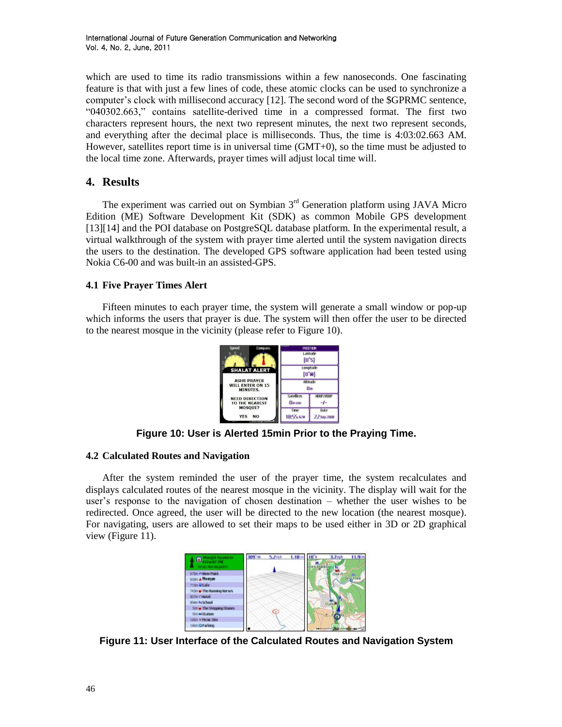which are used to time its radio transmissions within a few nanoseconds. One fascinating feature is that with just a few lines of code, these atomic clocks can be used to synchronize a computer"s clock with millisecond accuracy [12]. The second word of the \$GPRMC sentence, "040302.663," contains satellite-derived time in a compressed format. The first two characters represent hours, the next two represent minutes, the next two represent seconds, and everything after the decimal place is milliseconds. Thus, the time is 4:03:02.663 AM. However, satellites report time is in universal time (GMT+0), so the time must be adjusted to the local time zone. Afterwards, prayer times will adjust local time will.

## **4. Results**

The experiment was carried out on Symbian  $3<sup>rd</sup>$  Generation platform using JAVA Micro Edition (ME) Software Development Kit (SDK) as common Mobile GPS development [13][14] and the POI database on PostgreSQL database platform. In the experimental result, a virtual walkthrough of the system with prayer time alerted until the system navigation directs the users to the destination. The developed GPS software application had been tested using Nokia C6-00 and was built-in an assisted-GPS.

## **4.1 Five Prayer Times Alert**

Fifteen minutes to each prayer time, the system will generate a small window or pop-up which informs the users that prayer is due. The system will then offer the user to be directed to the nearest mosque in the vicinity (please refer to Figure 10).



**Figure 10: User is Alerted 15min Prior to the Praying Time.**

### **4.2 Calculated Routes and Navigation**

After the system reminded the user of the prayer time, the system recalculates and displays calculated routes of the nearest mosque in the vicinity. The display will wait for the user"s response to the navigation of chosen destination – whether the user wishes to be redirected. Once agreed, the user will be directed to the new location (the nearest mosque). For navigating, users are allowed to set their maps to be used either in 3D or 2D graphical view (Figure 11).

| <b>Massiat Synkerin</b><br>$\blacksquare$<br><b>CONTRACTOR</b> | <b>199 tal</b> | $5.2$ mph | 1.18km | 3.7 <sub>mn</sub> | 11.9mm |
|----------------------------------------------------------------|----------------|-----------|--------|-------------------|--------|
| <b>UNITED WAS ARRESTED</b>                                     |                |           |        |                   |        |
| <b>ETTIN AVVILUATE POINT</b>                                   |                |           |        | <b>Churc</b>      | w      |
| tron & Mosque                                                  |                |           |        |                   |        |
| 713tt Bitale                                                   |                |           |        |                   |        |
| Milm or The Running Horses.                                    |                |           |        |                   |        |
| <b>ROTH CHARM</b>                                              |                |           |        |                   |        |
| trian is School                                                |                |           |        |                   |        |
| tim w The Stepping Stones.                                     |                | Œ         |        |                   |        |
| tim auditation                                                 |                |           |        |                   |        |
| stim x Pionc Ste                                               |                |           |        |                   |        |
| 14m (2Parlano)                                                 |                |           |        |                   |        |

**Figure 11: User Interface of the Calculated Routes and Navigation System**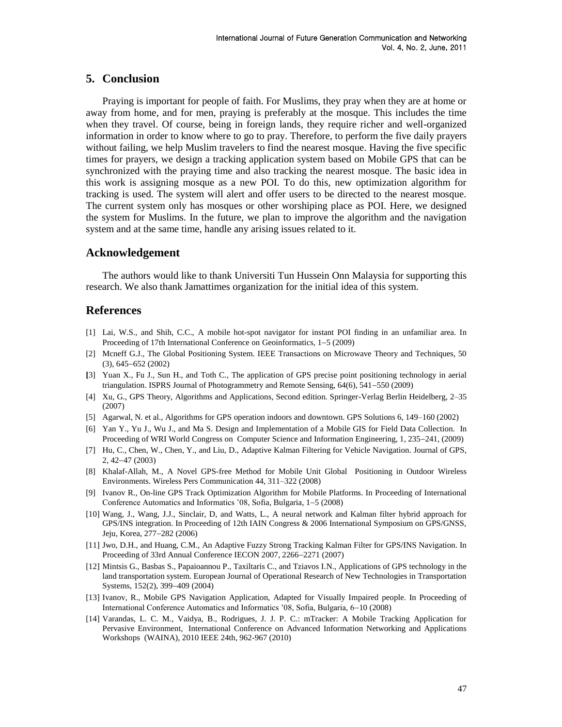### **5. Conclusion**

Praying is important for people of faith. For Muslims, they pray when they are at home or away from home, and for men, praying is preferably at the mosque. This includes the time when they travel. Of course, being in foreign lands, they require richer and well-organized information in order to know where to go to pray. Therefore, to perform the five daily prayers without failing, we help Muslim travelers to find the nearest mosque. Having the five specific times for prayers, we design a tracking application system based on Mobile GPS that can be synchronized with the praying time and also tracking the nearest mosque. The basic idea in this work is assigning mosque as a new POI. To do this, new optimization algorithm for tracking is used. The system will alert and offer users to be directed to the nearest mosque. The current system only has mosques or other worshiping place as POI. Here, we designed the system for Muslims. In the future, we plan to improve the algorithm and the navigation system and at the same time, handle any arising issues related to it.

#### **Acknowledgement**

The authors would like to thank Universiti Tun Hussein Onn Malaysia for supporting this research. We also thank Jamattimes organization for the initial idea of this system.

#### **References**

- [1] Lai, W.S., and Shih, C.C., A mobile hot-spot navigator for instant POI finding in an unfamiliar area. In Proceeding of 17th International Conference on Geoinformatics, 1–5 (2009)
- [2] Mcneff G.J., The Global Positioning System. IEEE Transactions on Microwave Theory and Techniques, 50  $(3), 645 - 652 (2002)$
- **[**3] Yuan X., Fu J., Sun H., and Toth C., The application of GPS precise point positioning technology in aerial triangulation. ISPRS Journal of Photogrammetry and Remote Sensing, 64(6), 541–550 (2009)
- [4] Xu, G., GPS Theory, Algorithms and Applications, Second edition. Springer-Verlag Berlin Heidelberg, 2–35 (2007)
- [5] Agarwal, N. et al., Algorithms for GPS operation indoors and downtown. GPS Solutions 6, 149–160 (2002)
- [6] Yan Y., Yu J., Wu J., and Ma S. Design and Implementation of a Mobile GIS for Field Data Collection. In Proceeding of WRI World Congress on Computer Science and Information Engineering, 1, 235-241, (2009)
- [7] Hu, C., Chen, W., Chen, Y., and Liu, D., Adaptive Kalman Filtering for Vehicle Navigation. Journal of GPS, 2, 42-47 (2003)
- [8] Khalaf-Allah, M., A Novel GPS-free Method for Mobile Unit Global Positioning in Outdoor Wireless Environments. Wireless Pers Communication 44, 311–322 (2008)
- [9] Ivanov R., On-line GPS Track Optimization Algorithm for Mobile Platforms. In Proceeding of International Conference Automatics and Informatics  $'08$ , Sofia, Bulgaria,  $1-5$  (2008)
- [10] Wang, J., Wang, J.J., Sinclair, D, and Watts, L., A neural network and Kalman filter hybrid approach for GPS/INS integration. In Proceeding of 12th IAIN Congress & 2006 International Symposium on GPS/GNSS, Jeju, Korea, 277–282 (2006)
- [11] Jwo, D.H., and Huang, C.M., An Adaptive Fuzzy Strong Tracking Kalman Filter for GPS/INS Navigation. In Proceeding of 33rd Annual Conference IECON 2007, 2266-2271 (2007)
- [12] Mintsis G., Basbas S., Papaioannou P., Taxiltaris C., and Tziavos I.N., Applications of GPS technology in the land transportation system. European Journal of Operational Research of New Technologies in Transportation Systems, 152(2), 399-409 (2004)
- [13] Ivanov, R., Mobile GPS Navigation Application, Adapted for Visually Impaired people. In Proceeding of International Conference Automatics and Informatics '08, Sofia, Bulgaria, 6–10 (2008)
- [14] Varandas, L. C. M., Vaidya, B., Rodrigues, J. J. P. C.: mTracker: A Mobile Tracking Application for Pervasive Environment, International Conference on Advanced Information Networking and Applications Workshops (WAINA), 2010 IEEE 24th, 962-967 (2010)